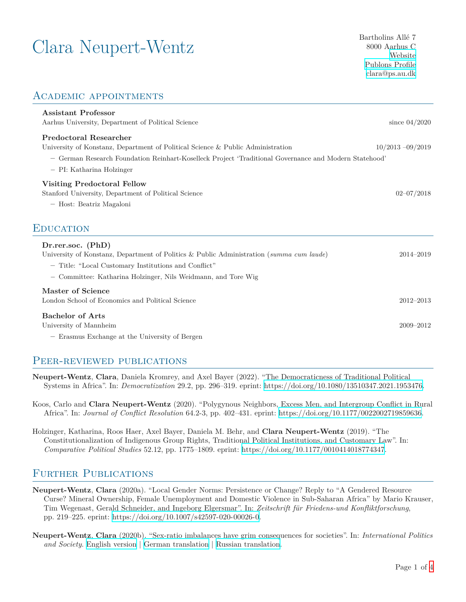# $\text{Clara}$  Neupert-Wentz Bartholins Allé 7<br>8000 Aarhus C

8000 Aarhus C [Website](https://pure.au.dk/portal/en/persons/clara-neupertwentz(70211ce4-1834-4222-9ffd-dd8dbac31d11).html) [Publons Profile](https://publons.com/researcher/2971258/clara-neupert-wentz/) [clara@ps.au.dk](mailto:clara@ps.au.dk)

### Academic appointments

| <b>Assistant Professor</b><br>Aarhus University, Department of Political Science                                                                                                          | since $04/2020$     |
|-------------------------------------------------------------------------------------------------------------------------------------------------------------------------------------------|---------------------|
| Predoctoral Researcher<br>University of Konstanz, Department of Political Science & Public Administration                                                                                 | $10/2013 - 09/2019$ |
| - German Research Foundation Reinhart-Koselleck Project 'Traditional Governance and Modern Statehood'<br>- PI: Katharina Holzinger                                                        |                     |
| <b>Visiting Predoctoral Fellow</b>                                                                                                                                                        |                     |
| Stanford University, Department of Political Science                                                                                                                                      | $02 - 07/2018$      |
| - Host: Beatriz Magaloni                                                                                                                                                                  |                     |
| <b>EDUCATION</b><br>Dr.rer.soc. (PhD)<br>University of Konstanz, Department of Politics & Public Administration (summa cum laude)<br>- Title: "Local Customary Institutions and Conflict" | 2014-2019           |
| Committee: Katharina Holzinger, Nils Weidmann, and Tore Wig<br>$\qquad \qquad -$                                                                                                          |                     |
| Master of Science                                                                                                                                                                         |                     |
| London School of Economics and Political Science                                                                                                                                          | $2012 - 2013$       |
| <b>Bachelor of Arts</b>                                                                                                                                                                   |                     |
| University of Mannheim                                                                                                                                                                    | 2009-2012           |
| - Erasmus Exchange at the University of Bergen                                                                                                                                            |                     |

#### PEER-REVIEWED PUBLICATIONS

- **Neupert-Wentz**, **Clara**, Daniela Kromrey, and Axel Bayer (2022). "The Democraticness of Traditional Political Systems in Africa". In: *Democratization* 29.2, pp. 296–319. eprint: <https://doi.org/10.1080/13510347.2021.1953476>.
- Koos, Carlo and **Clara Neupert-Wentz** (2020). "Polygynous Neighbors, Excess Men, and Intergroup Conflict in Rural Africa". In: *Journal of Conflict Resolution* 64.2-3, pp. 402–431. eprint: <https://doi.org/10.1177/0022002719859636>.

Holzinger, Katharina, Roos Haer, Axel Bayer, Daniela M. Behr, and **Clara Neupert-Wentz** (2019). "The Constitutionalization of Indigenous Group Rights, Traditional Political Institutions, and Customary Law". In: *Comparative Political Studies* 52.12, pp. 1775–1809. eprint: <https://doi.org/10.1177/0010414018774347>.

### FURTHER PUBLICATIONS

- **Neupert-Wentz**, **Clara** (2020a). "Local Gender Norms: Persistence or Change? Reply to "A Gendered Resource Curse? Mineral Ownership, Female Unemployment and Domestic Violence in Sub-Saharan Africa" by Mario Krauser, Tim Wegenast, Gerald Schneider, and Ingeborg Elgersmar". In: *Zeitschrift für Friedens-und Konfliktforschung*, pp. 219–225. eprint: [https://doi.org/10.1007/s42597-020-00026-0.](https://doi.org/10.1007/s42597-020-00026-0)
- **Neupert-Wentz**, **Clara** (2020b). "Sex-ratio imbalances have grim consequences for societies". In: *International Politics and Society*. [English version](https://www.ips-journal.eu/regions/global/sex-ratio-imbalances-have-grim-consequences-for-societies-4829/) *|* [German translation](https://www.ipg-journal.de/regionen/global/artikel/wenn-frauen-fehlen-4809/) *|* [Russian translation](https://www.ipg-journal.io/rubriki/demokraticheskoe-obshchestvo/plachevnye-posledstvija-1191/).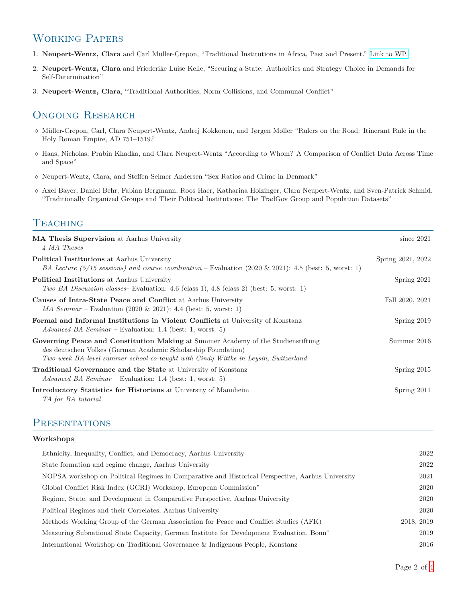### Working Papers

- 1. **Neupert-Wentz, Clara** and Carl Müller-Crepon, "Traditional Institutions in Africa, Past and Present." [Link to WP.](https://osf.io/preprints/socarxiv/kw32s/)
- 2. **Neupert-Wentz, Clara** and Friederike Luise Kelle, "Securing a State: Authorities and Strategy Choice in Demands for Self-Determination"
- 3. **Neupert-Wentz, Clara**, "Traditional Authorities, Norm Collisions, and Communal Conflict"

### ONGOING RESEARCH

- *⋄* Müller-Crepon, Carl, Clara Neupert-Wentz, Andrej Kokkonen, and Jørgen Møller "Rulers on the Road: Itinerant Rule in the Holy Roman Empire, AD 751–1519."
- *⋄* Haas, Nicholas, Prabin Khadka, and Clara Neupert-Wentz "According to Whom? A Comparison of Conflict Data Across Time and Space"
- *⋄* Neupert-Wentz, Clara, and Steffen Selmer Andersen "Sex Ratios and Crime in Denmark"
- *⋄* Axel Bayer, Daniel Behr, Fabian Bergmann, Roos Haer, Katharina Holzinger, Clara Neupert-Wentz, and Sven-Patrick Schmid. "Traditionally Organized Groups and Their Political Institutions: The TradGov Group and Population Datasets"

### **TEACHING**

| <b>MA Thesis Supervision</b> at Aarhus University<br>4 MA Theses                                                                                                                                                                        | since $2021$      |
|-----------------------------------------------------------------------------------------------------------------------------------------------------------------------------------------------------------------------------------------|-------------------|
| <b>Political Institutions</b> at Aarhus University<br>BA Lecture (5/15 sessions) and course coordination – Evaluation (2020 & 2021): 4.5 (best: 5, worst: 1)                                                                            | Spring 2021, 2022 |
| <b>Political Institutions</b> at Aarhus University<br>Two BA Discussion classes Evaluation: 4.6 (class 1), 4.8 (class 2) (best: 5, worst: 1)                                                                                            | Spring 2021       |
| Causes of Intra-State Peace and Conflict at Aarhus University<br><i>MA Seminar</i> – Evaluation (2020 & 2021): 4.4 (best: 5, worst: 1)                                                                                                  | Fall 2020, 2021   |
| <b>Formal and Informal Institutions in Violent Conflicts at University of Konstanz</b><br>Advanced BA Seminar – Evaluation: 1.4 (best: 1, worst: 5)                                                                                     | Spring 2019       |
| Governing Peace and Constitution Making at Summer Academy of the Studienstiftung<br>des deutschen Volkes (German Academic Scholarship Foundation)<br>Two-week BA-level summer school co-taught with Cindy Wittke in Leysin, Switzerland | Summer 2016       |
| Traditional Governance and the State at University of Konstanz<br>Advanced BA Seminar – Evaluation: 1.4 (best: 1, worst: 5)                                                                                                             | Spring $2015$     |
| <b>Introductory Statistics for Historians</b> at University of Mannheim<br>TA for BA tutorial                                                                                                                                           | Spring 2011       |

#### **PRESENTATIONS**

#### **Workshops**

| Ethnicity, Inequality, Conflict, and Democracy, Aarhus University                                    | 2022       |
|------------------------------------------------------------------------------------------------------|------------|
| State formation and regime change, Aarhus University                                                 | 2022       |
| NOPSA workshop on Political Regimes in Comparative and Historical Perspective, Aarhus University     | 2021       |
| Global Conflict Risk Index (GCRI) Workshop, European Commission*                                     | 2020       |
| Regime, State, and Development in Comparative Perspective, Aarhus University                         | 2020       |
| Political Regimes and their Correlates, Aarhus University                                            | 2020       |
| Methods Working Group of the German Association for Peace and Conflict Studies (AFK)                 | 2018, 2019 |
| Measuring Subnational State Capacity, German Institute for Development Evaluation, Bonn <sup>*</sup> | 2019       |
| International Workshop on Traditional Governance & Indigenous People, Konstanz                       | 2016       |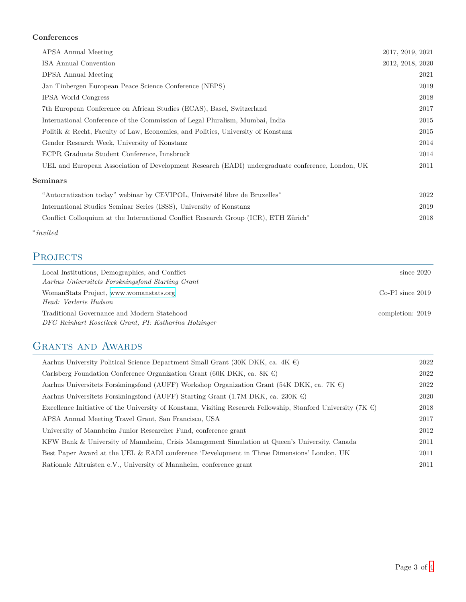#### **Conferences**

| APSA Annual Meeting                                                                              | 2017, 2019, 2021 |
|--------------------------------------------------------------------------------------------------|------------------|
| ISA Annual Convention                                                                            | 2012, 2018, 2020 |
| DPSA Annual Meeting                                                                              | 2021             |
| Jan Tinbergen European Peace Science Conference (NEPS)                                           | 2019             |
| <b>IPSA World Congress</b>                                                                       | 2018             |
| 7th European Conference on African Studies (ECAS), Basel, Switzerland                            | 2017             |
| International Conference of the Commission of Legal Pluralism, Mumbai, India                     | 2015             |
| Politik & Recht, Faculty of Law, Economics, and Politics, University of Konstanz                 | 2015             |
| Gender Research Week, University of Konstanz                                                     | 2014             |
| ECPR Graduate Student Conference, Innsbruck                                                      | 2014             |
| UEL and European Association of Development Research (EADI) undergraduate conference, London, UK | 2011             |
| <b>Seminars</b>                                                                                  |                  |
| "Autocratization today" webinar by CEVIPOL, Université libre de Bruxelles*                       | 2022             |
| International Studies Seminar Series (ISSS), University of Konstanz                              | 2019             |
| Conflict Colloquium at the International Conflict Research Group (ICR), ETH Zürich <sup>*</sup>  | 2018             |
|                                                                                                  |                  |

*∗ invited*

### PROJECTS

| Local Institutions, Demographics, and Conflict<br>Aarhus Universitets Forskningsfond Starting Grant  | since $2020$         |
|------------------------------------------------------------------------------------------------------|----------------------|
| WomanStats Project, www.womanstats.org<br>Head: Varlerie Hudson                                      | $Co-PI$ since $2019$ |
| Traditional Governance and Modern Statehood<br>DFG Reinhart Koselleck Grant, PI: Katharina Holzinger | completion: 2019     |

### GRANTS AND AWARDS

| Aarhus University Political Science Department Small Grant (30K DKK, ca. 4K $\epsilon$ )                                | 2022 |
|-------------------------------------------------------------------------------------------------------------------------|------|
| Carlsberg Foundation Conference Organization Grant (60K DKK, ca. 8K $\epsilon$ )                                        | 2022 |
| Aarhus Universitets Forskningsfond (AUFF) Workshop Organization Grant (54K DKK, ca. 7K $\in$ )                          | 2022 |
| Aarhus Universitets Forskningsfond (AUFF) Starting Grant (1.7M DKK, ca. 230K $\epsilon$ )                               | 2020 |
| Excellence Initiative of the University of Konstanz, Visiting Research Fellowship, Stanford University (7K $\epsilon$ ) | 2018 |
| APSA Annual Meeting Travel Grant, San Francisco, USA                                                                    | 2017 |
| University of Mannheim Junior Researcher Fund, conference grant                                                         | 2012 |
| KFW Bank & University of Mannheim, Crisis Management Simulation at Queen's University, Canada                           | 2011 |
| Best Paper Award at the UEL & EADI conference 'Development in Three Dimensions' London, UK                              | 2011 |
| Rationale Altruisten e.V., University of Mannheim, conference grant                                                     | 2011 |